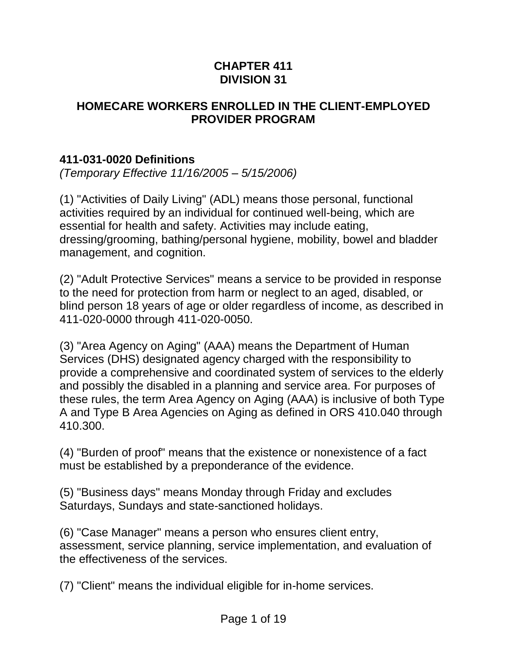## **CHAPTER 411 DIVISION 31**

## **HOMECARE WORKERS ENROLLED IN THE CLIENT-EMPLOYED PROVIDER PROGRAM**

## **411-031-0020 Definitions**

*(Temporary Effective 11/16/2005 – 5/15/2006)*

(1) "Activities of Daily Living" (ADL) means those personal, functional activities required by an individual for continued well-being, which are essential for health and safety. Activities may include eating, dressing/grooming, bathing/personal hygiene, mobility, bowel and bladder management, and cognition.

(2) "Adult Protective Services" means a service to be provided in response to the need for protection from harm or neglect to an aged, disabled, or blind person 18 years of age or older regardless of income, as described in 411-020-0000 through 411-020-0050.

(3) "Area Agency on Aging" (AAA) means the Department of Human Services (DHS) designated agency charged with the responsibility to provide a comprehensive and coordinated system of services to the elderly and possibly the disabled in a planning and service area. For purposes of these rules, the term Area Agency on Aging (AAA) is inclusive of both Type A and Type B Area Agencies on Aging as defined in ORS 410.040 through 410.300.

(4) "Burden of proof" means that the existence or nonexistence of a fact must be established by a preponderance of the evidence.

(5) "Business days" means Monday through Friday and excludes Saturdays, Sundays and state-sanctioned holidays.

(6) "Case Manager" means a person who ensures client entry, assessment, service planning, service implementation, and evaluation of the effectiveness of the services.

(7) "Client" means the individual eligible for in-home services.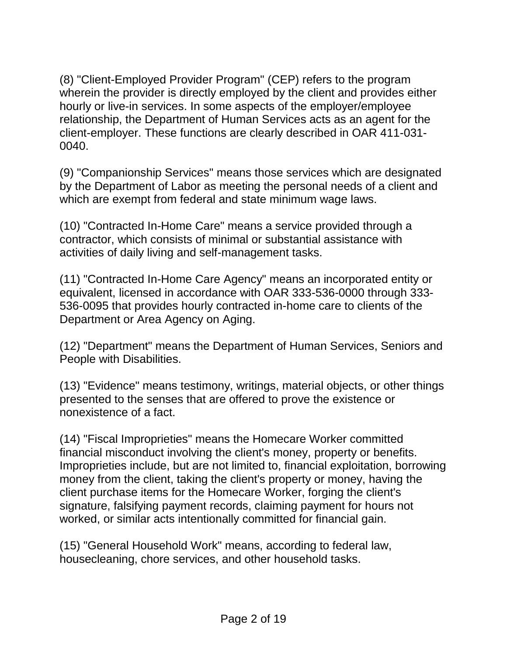(8) "Client-Employed Provider Program" (CEP) refers to the program wherein the provider is directly employed by the client and provides either hourly or live-in services. In some aspects of the employer/employee relationship, the Department of Human Services acts as an agent for the client-employer. These functions are clearly described in OAR 411-031- 0040.

(9) "Companionship Services" means those services which are designated by the Department of Labor as meeting the personal needs of a client and which are exempt from federal and state minimum wage laws.

(10) "Contracted In-Home Care" means a service provided through a contractor, which consists of minimal or substantial assistance with activities of daily living and self-management tasks.

(11) "Contracted In-Home Care Agency" means an incorporated entity or equivalent, licensed in accordance with OAR 333-536-0000 through 333- 536-0095 that provides hourly contracted in-home care to clients of the Department or Area Agency on Aging.

(12) "Department" means the Department of Human Services, Seniors and People with Disabilities.

(13) "Evidence" means testimony, writings, material objects, or other things presented to the senses that are offered to prove the existence or nonexistence of a fact.

(14) "Fiscal Improprieties" means the Homecare Worker committed financial misconduct involving the client's money, property or benefits. Improprieties include, but are not limited to, financial exploitation, borrowing money from the client, taking the client's property or money, having the client purchase items for the Homecare Worker, forging the client's signature, falsifying payment records, claiming payment for hours not worked, or similar acts intentionally committed for financial gain.

(15) "General Household Work" means, according to federal law, housecleaning, chore services, and other household tasks.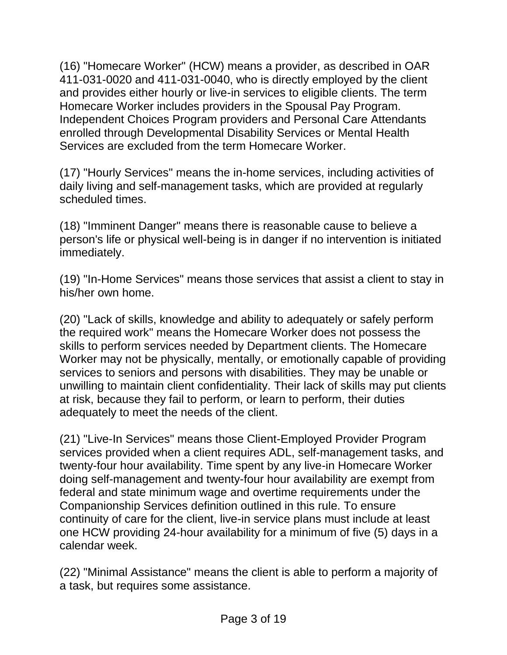(16) "Homecare Worker" (HCW) means a provider, as described in OAR 411-031-0020 and 411-031-0040, who is directly employed by the client and provides either hourly or live-in services to eligible clients. The term Homecare Worker includes providers in the Spousal Pay Program. Independent Choices Program providers and Personal Care Attendants enrolled through Developmental Disability Services or Mental Health Services are excluded from the term Homecare Worker.

(17) "Hourly Services" means the in-home services, including activities of daily living and self-management tasks, which are provided at regularly scheduled times.

(18) "Imminent Danger" means there is reasonable cause to believe a person's life or physical well-being is in danger if no intervention is initiated immediately.

(19) "In-Home Services" means those services that assist a client to stay in his/her own home.

(20) "Lack of skills, knowledge and ability to adequately or safely perform the required work" means the Homecare Worker does not possess the skills to perform services needed by Department clients. The Homecare Worker may not be physically, mentally, or emotionally capable of providing services to seniors and persons with disabilities. They may be unable or unwilling to maintain client confidentiality. Their lack of skills may put clients at risk, because they fail to perform, or learn to perform, their duties adequately to meet the needs of the client.

(21) "Live-In Services" means those Client-Employed Provider Program services provided when a client requires ADL, self-management tasks, and twenty-four hour availability. Time spent by any live-in Homecare Worker doing self-management and twenty-four hour availability are exempt from federal and state minimum wage and overtime requirements under the Companionship Services definition outlined in this rule. To ensure continuity of care for the client, live-in service plans must include at least one HCW providing 24-hour availability for a minimum of five (5) days in a calendar week.

(22) "Minimal Assistance" means the client is able to perform a majority of a task, but requires some assistance.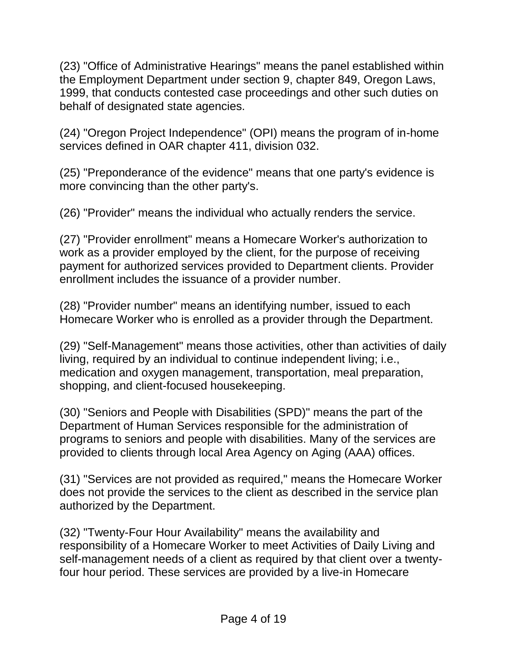(23) "Office of Administrative Hearings" means the panel established within the Employment Department under section 9, chapter 849, Oregon Laws, 1999, that conducts contested case proceedings and other such duties on behalf of designated state agencies.

(24) "Oregon Project Independence" (OPI) means the program of in-home services defined in OAR chapter 411, division 032.

(25) "Preponderance of the evidence" means that one party's evidence is more convincing than the other party's.

(26) "Provider" means the individual who actually renders the service.

(27) "Provider enrollment" means a Homecare Worker's authorization to work as a provider employed by the client, for the purpose of receiving payment for authorized services provided to Department clients. Provider enrollment includes the issuance of a provider number.

(28) "Provider number" means an identifying number, issued to each Homecare Worker who is enrolled as a provider through the Department.

(29) "Self-Management" means those activities, other than activities of daily living, required by an individual to continue independent living; i.e., medication and oxygen management, transportation, meal preparation, shopping, and client-focused housekeeping.

(30) "Seniors and People with Disabilities (SPD)" means the part of the Department of Human Services responsible for the administration of programs to seniors and people with disabilities. Many of the services are provided to clients through local Area Agency on Aging (AAA) offices.

(31) "Services are not provided as required," means the Homecare Worker does not provide the services to the client as described in the service plan authorized by the Department.

(32) "Twenty-Four Hour Availability" means the availability and responsibility of a Homecare Worker to meet Activities of Daily Living and self-management needs of a client as required by that client over a twentyfour hour period. These services are provided by a live-in Homecare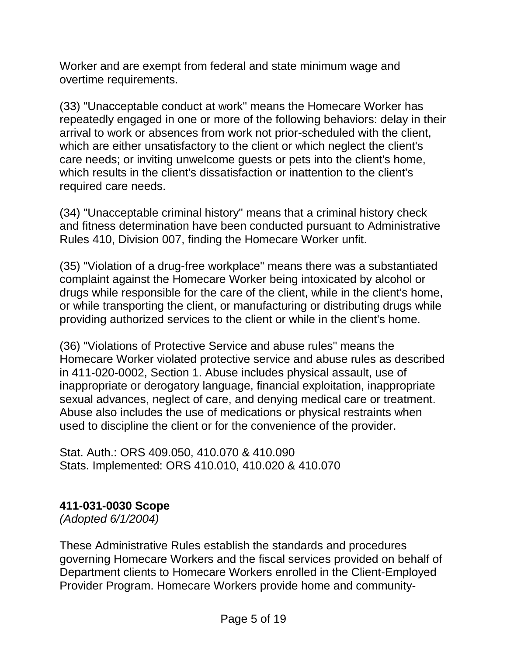Worker and are exempt from federal and state minimum wage and overtime requirements.

(33) "Unacceptable conduct at work" means the Homecare Worker has repeatedly engaged in one or more of the following behaviors: delay in their arrival to work or absences from work not prior-scheduled with the client, which are either unsatisfactory to the client or which neglect the client's care needs; or inviting unwelcome guests or pets into the client's home, which results in the client's dissatisfaction or inattention to the client's required care needs.

(34) "Unacceptable criminal history" means that a criminal history check and fitness determination have been conducted pursuant to Administrative Rules 410, Division 007, finding the Homecare Worker unfit.

(35) "Violation of a drug-free workplace" means there was a substantiated complaint against the Homecare Worker being intoxicated by alcohol or drugs while responsible for the care of the client, while in the client's home, or while transporting the client, or manufacturing or distributing drugs while providing authorized services to the client or while in the client's home.

(36) "Violations of Protective Service and abuse rules" means the Homecare Worker violated protective service and abuse rules as described in 411-020-0002, Section 1. Abuse includes physical assault, use of inappropriate or derogatory language, financial exploitation, inappropriate sexual advances, neglect of care, and denying medical care or treatment. Abuse also includes the use of medications or physical restraints when used to discipline the client or for the convenience of the provider.

Stat. Auth.: ORS 409.050, 410.070 & 410.090 Stats. Implemented: ORS 410.010, 410.020 & 410.070

## **411-031-0030 Scope**

*(Adopted 6/1/2004)*

These Administrative Rules establish the standards and procedures governing Homecare Workers and the fiscal services provided on behalf of Department clients to Homecare Workers enrolled in the Client-Employed Provider Program. Homecare Workers provide home and community-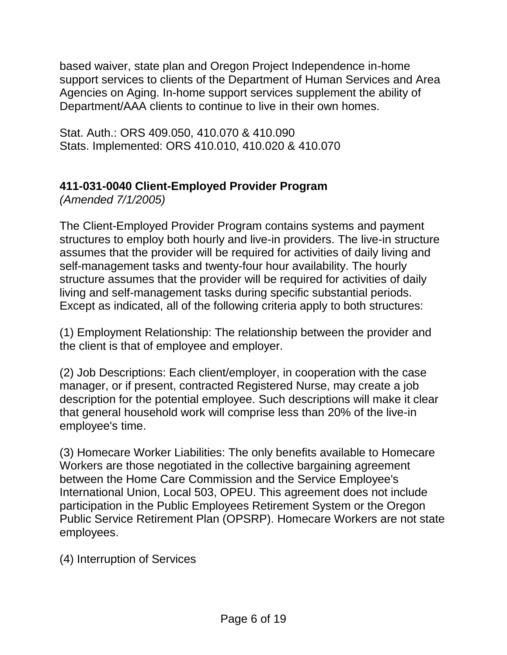based waiver, state plan and Oregon Project Independence in-home support services to clients of the Department of Human Services and Area Agencies on Aging. In-home support services supplement the ability of Department/AAA clients to continue to live in their own homes.

Stat. Auth.: ORS 409.050, 410.070 & 410.090 Stats. Implemented: ORS 410.010, 410.020 & 410.070

# **411-031-0040 Client-Employed Provider Program**

*(Amended 7/1/2005)*

The Client-Employed Provider Program contains systems and payment structures to employ both hourly and live-in providers. The live-in structure assumes that the provider will be required for activities of daily living and self-management tasks and twenty-four hour availability. The hourly structure assumes that the provider will be required for activities of daily living and self-management tasks during specific substantial periods. Except as indicated, all of the following criteria apply to both structures:

(1) Employment Relationship: The relationship between the provider and the client is that of employee and employer.

(2) Job Descriptions: Each client/employer, in cooperation with the case manager, or if present, contracted Registered Nurse, may create a job description for the potential employee. Such descriptions will make it clear that general household work will comprise less than 20% of the live-in employee's time.

(3) Homecare Worker Liabilities: The only benefits available to Homecare Workers are those negotiated in the collective bargaining agreement between the Home Care Commission and the Service Employee's International Union, Local 503, OPEU. This agreement does not include participation in the Public Employees Retirement System or the Oregon Public Service Retirement Plan (OPSRP). Homecare Workers are not state employees.

(4) Interruption of Services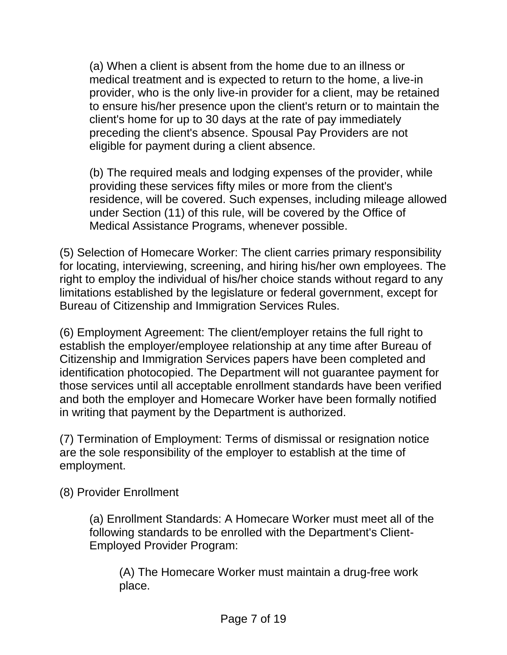(a) When a client is absent from the home due to an illness or medical treatment and is expected to return to the home, a live-in provider, who is the only live-in provider for a client, may be retained to ensure his/her presence upon the client's return or to maintain the client's home for up to 30 days at the rate of pay immediately preceding the client's absence. Spousal Pay Providers are not eligible for payment during a client absence.

(b) The required meals and lodging expenses of the provider, while providing these services fifty miles or more from the client's residence, will be covered. Such expenses, including mileage allowed under Section (11) of this rule, will be covered by the Office of Medical Assistance Programs, whenever possible.

(5) Selection of Homecare Worker: The client carries primary responsibility for locating, interviewing, screening, and hiring his/her own employees. The right to employ the individual of his/her choice stands without regard to any limitations established by the legislature or federal government, except for Bureau of Citizenship and Immigration Services Rules.

(6) Employment Agreement: The client/employer retains the full right to establish the employer/employee relationship at any time after Bureau of Citizenship and Immigration Services papers have been completed and identification photocopied. The Department will not guarantee payment for those services until all acceptable enrollment standards have been verified and both the employer and Homecare Worker have been formally notified in writing that payment by the Department is authorized.

(7) Termination of Employment: Terms of dismissal or resignation notice are the sole responsibility of the employer to establish at the time of employment.

(8) Provider Enrollment

(a) Enrollment Standards: A Homecare Worker must meet all of the following standards to be enrolled with the Department's Client-Employed Provider Program:

(A) The Homecare Worker must maintain a drug-free work place.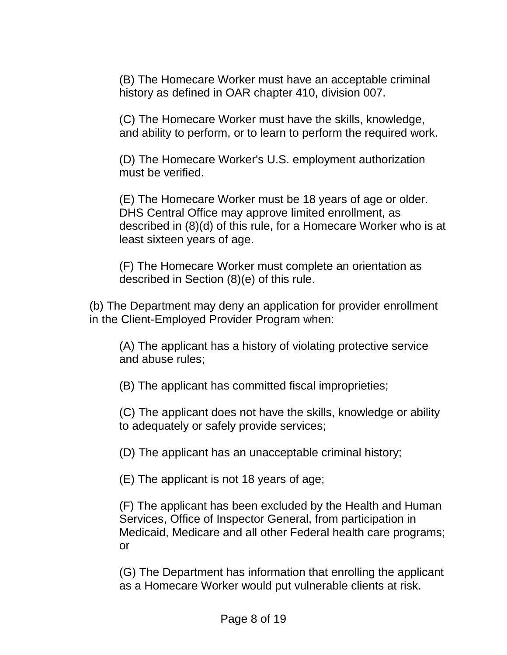(B) The Homecare Worker must have an acceptable criminal history as defined in OAR chapter 410, division 007.

(C) The Homecare Worker must have the skills, knowledge, and ability to perform, or to learn to perform the required work.

(D) The Homecare Worker's U.S. employment authorization must be verified.

(E) The Homecare Worker must be 18 years of age or older. DHS Central Office may approve limited enrollment, as described in (8)(d) of this rule, for a Homecare Worker who is at least sixteen years of age.

(F) The Homecare Worker must complete an orientation as described in Section (8)(e) of this rule.

(b) The Department may deny an application for provider enrollment in the Client-Employed Provider Program when:

(A) The applicant has a history of violating protective service and abuse rules;

(B) The applicant has committed fiscal improprieties;

(C) The applicant does not have the skills, knowledge or ability to adequately or safely provide services;

(D) The applicant has an unacceptable criminal history;

(E) The applicant is not 18 years of age;

(F) The applicant has been excluded by the Health and Human Services, Office of Inspector General, from participation in Medicaid, Medicare and all other Federal health care programs; or

(G) The Department has information that enrolling the applicant as a Homecare Worker would put vulnerable clients at risk.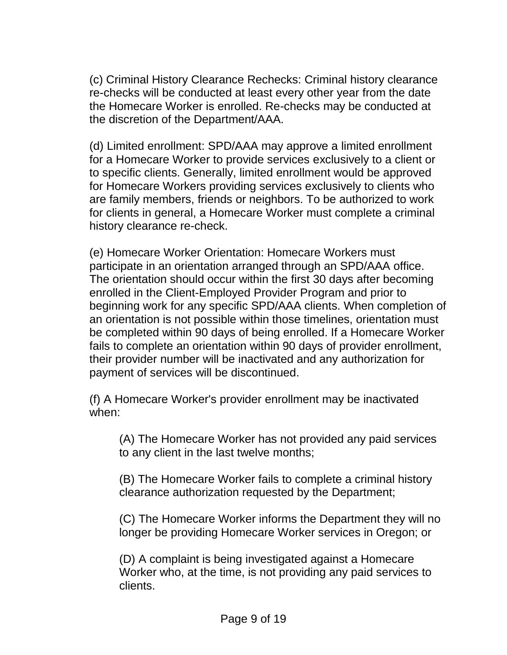(c) Criminal History Clearance Rechecks: Criminal history clearance re-checks will be conducted at least every other year from the date the Homecare Worker is enrolled. Re-checks may be conducted at the discretion of the Department/AAA.

(d) Limited enrollment: SPD/AAA may approve a limited enrollment for a Homecare Worker to provide services exclusively to a client or to specific clients. Generally, limited enrollment would be approved for Homecare Workers providing services exclusively to clients who are family members, friends or neighbors. To be authorized to work for clients in general, a Homecare Worker must complete a criminal history clearance re-check.

(e) Homecare Worker Orientation: Homecare Workers must participate in an orientation arranged through an SPD/AAA office. The orientation should occur within the first 30 days after becoming enrolled in the Client-Employed Provider Program and prior to beginning work for any specific SPD/AAA clients. When completion of an orientation is not possible within those timelines, orientation must be completed within 90 days of being enrolled. If a Homecare Worker fails to complete an orientation within 90 days of provider enrollment, their provider number will be inactivated and any authorization for payment of services will be discontinued.

(f) A Homecare Worker's provider enrollment may be inactivated when:

(A) The Homecare Worker has not provided any paid services to any client in the last twelve months;

(B) The Homecare Worker fails to complete a criminal history clearance authorization requested by the Department;

(C) The Homecare Worker informs the Department they will no longer be providing Homecare Worker services in Oregon; or

(D) A complaint is being investigated against a Homecare Worker who, at the time, is not providing any paid services to clients.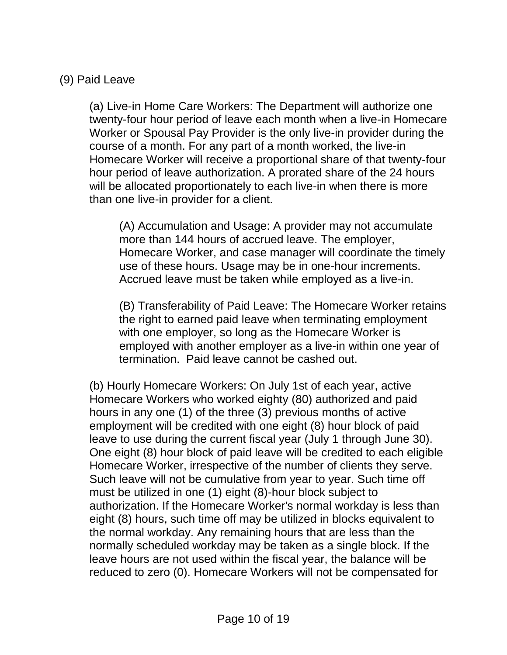#### (9) Paid Leave

(a) Live-in Home Care Workers: The Department will authorize one twenty-four hour period of leave each month when a live-in Homecare Worker or Spousal Pay Provider is the only live-in provider during the course of a month. For any part of a month worked, the live-in Homecare Worker will receive a proportional share of that twenty-four hour period of leave authorization. A prorated share of the 24 hours will be allocated proportionately to each live-in when there is more than one live-in provider for a client.

(A) Accumulation and Usage: A provider may not accumulate more than 144 hours of accrued leave. The employer, Homecare Worker, and case manager will coordinate the timely use of these hours. Usage may be in one-hour increments. Accrued leave must be taken while employed as a live-in.

(B) Transferability of Paid Leave: The Homecare Worker retains the right to earned paid leave when terminating employment with one employer, so long as the Homecare Worker is employed with another employer as a live-in within one year of termination. Paid leave cannot be cashed out.

(b) Hourly Homecare Workers: On July 1st of each year, active Homecare Workers who worked eighty (80) authorized and paid hours in any one (1) of the three (3) previous months of active employment will be credited with one eight (8) hour block of paid leave to use during the current fiscal year (July 1 through June 30). One eight (8) hour block of paid leave will be credited to each eligible Homecare Worker, irrespective of the number of clients they serve. Such leave will not be cumulative from year to year. Such time off must be utilized in one (1) eight (8)-hour block subject to authorization. If the Homecare Worker's normal workday is less than eight (8) hours, such time off may be utilized in blocks equivalent to the normal workday. Any remaining hours that are less than the normally scheduled workday may be taken as a single block. If the leave hours are not used within the fiscal year, the balance will be reduced to zero (0). Homecare Workers will not be compensated for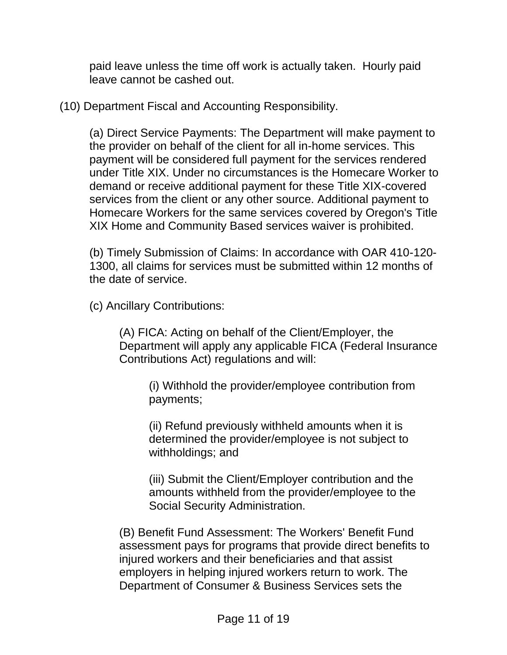paid leave unless the time off work is actually taken. Hourly paid leave cannot be cashed out.

(10) Department Fiscal and Accounting Responsibility.

(a) Direct Service Payments: The Department will make payment to the provider on behalf of the client for all in-home services. This payment will be considered full payment for the services rendered under Title XIX. Under no circumstances is the Homecare Worker to demand or receive additional payment for these Title XIX-covered services from the client or any other source. Additional payment to Homecare Workers for the same services covered by Oregon's Title XIX Home and Community Based services waiver is prohibited.

(b) Timely Submission of Claims: In accordance with OAR 410-120- 1300, all claims for services must be submitted within 12 months of the date of service.

(c) Ancillary Contributions:

(A) FICA: Acting on behalf of the Client/Employer, the Department will apply any applicable FICA (Federal Insurance Contributions Act) regulations and will:

(i) Withhold the provider/employee contribution from payments;

(ii) Refund previously withheld amounts when it is determined the provider/employee is not subject to withholdings; and

(iii) Submit the Client/Employer contribution and the amounts withheld from the provider/employee to the Social Security Administration.

(B) Benefit Fund Assessment: The Workers' Benefit Fund assessment pays for programs that provide direct benefits to injured workers and their beneficiaries and that assist employers in helping injured workers return to work. The Department of Consumer & Business Services sets the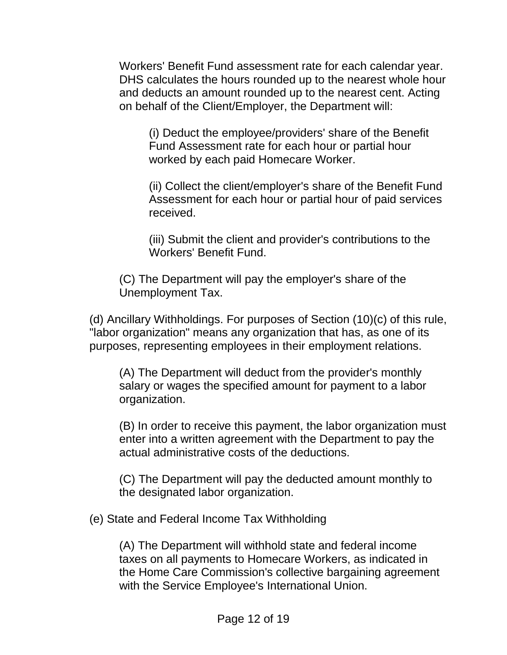Workers' Benefit Fund assessment rate for each calendar year. DHS calculates the hours rounded up to the nearest whole hour and deducts an amount rounded up to the nearest cent. Acting on behalf of the Client/Employer, the Department will:

(i) Deduct the employee/providers' share of the Benefit Fund Assessment rate for each hour or partial hour worked by each paid Homecare Worker.

(ii) Collect the client/employer's share of the Benefit Fund Assessment for each hour or partial hour of paid services received.

(iii) Submit the client and provider's contributions to the Workers' Benefit Fund.

(C) The Department will pay the employer's share of the Unemployment Tax.

(d) Ancillary Withholdings. For purposes of Section (10)(c) of this rule, "labor organization" means any organization that has, as one of its purposes, representing employees in their employment relations.

(A) The Department will deduct from the provider's monthly salary or wages the specified amount for payment to a labor organization.

(B) In order to receive this payment, the labor organization must enter into a written agreement with the Department to pay the actual administrative costs of the deductions.

(C) The Department will pay the deducted amount monthly to the designated labor organization.

(e) State and Federal Income Tax Withholding

(A) The Department will withhold state and federal income taxes on all payments to Homecare Workers, as indicated in the Home Care Commission's collective bargaining agreement with the Service Employee's International Union.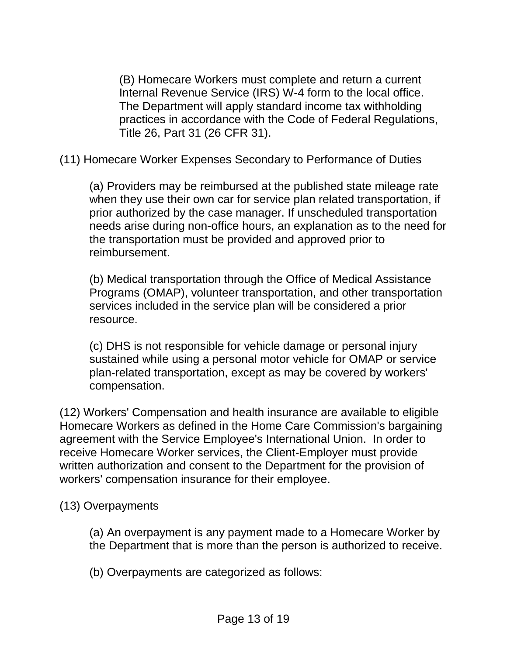(B) Homecare Workers must complete and return a current Internal Revenue Service (IRS) W-4 form to the local office. The Department will apply standard income tax withholding practices in accordance with the Code of Federal Regulations, Title 26, Part 31 (26 CFR 31).

(11) Homecare Worker Expenses Secondary to Performance of Duties

(a) Providers may be reimbursed at the published state mileage rate when they use their own car for service plan related transportation, if prior authorized by the case manager. If unscheduled transportation needs arise during non-office hours, an explanation as to the need for the transportation must be provided and approved prior to reimbursement.

(b) Medical transportation through the Office of Medical Assistance Programs (OMAP), volunteer transportation, and other transportation services included in the service plan will be considered a prior resource.

(c) DHS is not responsible for vehicle damage or personal injury sustained while using a personal motor vehicle for OMAP or service plan-related transportation, except as may be covered by workers' compensation.

(12) Workers' Compensation and health insurance are available to eligible Homecare Workers as defined in the Home Care Commission's bargaining agreement with the Service Employee's International Union. In order to receive Homecare Worker services, the Client-Employer must provide written authorization and consent to the Department for the provision of workers' compensation insurance for their employee.

#### (13) Overpayments

(a) An overpayment is any payment made to a Homecare Worker by the Department that is more than the person is authorized to receive.

(b) Overpayments are categorized as follows: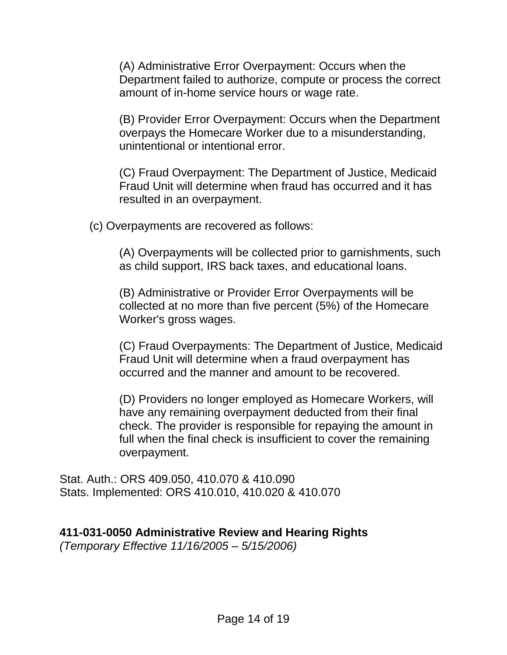(A) Administrative Error Overpayment: Occurs when the Department failed to authorize, compute or process the correct amount of in-home service hours or wage rate.

(B) Provider Error Overpayment: Occurs when the Department overpays the Homecare Worker due to a misunderstanding, unintentional or intentional error.

(C) Fraud Overpayment: The Department of Justice, Medicaid Fraud Unit will determine when fraud has occurred and it has resulted in an overpayment.

(c) Overpayments are recovered as follows:

(A) Overpayments will be collected prior to garnishments, such as child support, IRS back taxes, and educational loans.

(B) Administrative or Provider Error Overpayments will be collected at no more than five percent (5%) of the Homecare Worker's gross wages.

(C) Fraud Overpayments: The Department of Justice, Medicaid Fraud Unit will determine when a fraud overpayment has occurred and the manner and amount to be recovered.

(D) Providers no longer employed as Homecare Workers, will have any remaining overpayment deducted from their final check. The provider is responsible for repaying the amount in full when the final check is insufficient to cover the remaining overpayment.

Stat. Auth.: ORS 409.050, 410.070 & 410.090 Stats. Implemented: ORS 410.010, 410.020 & 410.070

# **411-031-0050 Administrative Review and Hearing Rights**

*(Temporary Effective 11/16/2005 – 5/15/2006)*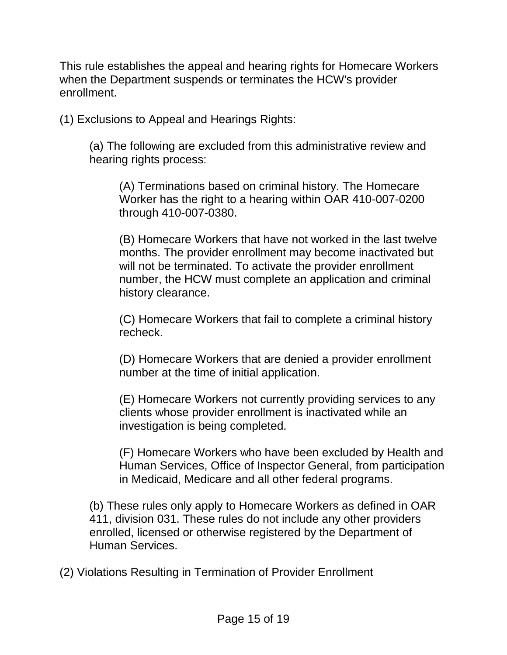This rule establishes the appeal and hearing rights for Homecare Workers when the Department suspends or terminates the HCW's provider enrollment.

(1) Exclusions to Appeal and Hearings Rights:

(a) The following are excluded from this administrative review and hearing rights process:

(A) Terminations based on criminal history. The Homecare Worker has the right to a hearing within OAR 410-007-0200 through 410-007-0380.

(B) Homecare Workers that have not worked in the last twelve months. The provider enrollment may become inactivated but will not be terminated. To activate the provider enrollment number, the HCW must complete an application and criminal history clearance.

(C) Homecare Workers that fail to complete a criminal history recheck.

(D) Homecare Workers that are denied a provider enrollment number at the time of initial application.

(E) Homecare Workers not currently providing services to any clients whose provider enrollment is inactivated while an investigation is being completed.

(F) Homecare Workers who have been excluded by Health and Human Services, Office of Inspector General, from participation in Medicaid, Medicare and all other federal programs.

(b) These rules only apply to Homecare Workers as defined in OAR 411, division 031. These rules do not include any other providers enrolled, licensed or otherwise registered by the Department of Human Services.

(2) Violations Resulting in Termination of Provider Enrollment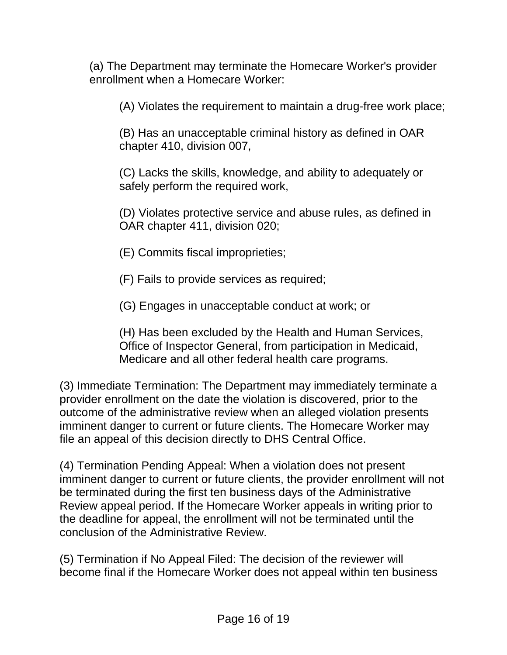(a) The Department may terminate the Homecare Worker's provider enrollment when a Homecare Worker:

(A) Violates the requirement to maintain a drug-free work place;

(B) Has an unacceptable criminal history as defined in OAR chapter 410, division 007,

(C) Lacks the skills, knowledge, and ability to adequately or safely perform the required work,

(D) Violates protective service and abuse rules, as defined in OAR chapter 411, division 020;

(E) Commits fiscal improprieties;

(F) Fails to provide services as required;

(G) Engages in unacceptable conduct at work; or

(H) Has been excluded by the Health and Human Services, Office of Inspector General, from participation in Medicaid, Medicare and all other federal health care programs.

(3) Immediate Termination: The Department may immediately terminate a provider enrollment on the date the violation is discovered, prior to the outcome of the administrative review when an alleged violation presents imminent danger to current or future clients. The Homecare Worker may file an appeal of this decision directly to DHS Central Office.

(4) Termination Pending Appeal: When a violation does not present imminent danger to current or future clients, the provider enrollment will not be terminated during the first ten business days of the Administrative Review appeal period. If the Homecare Worker appeals in writing prior to the deadline for appeal, the enrollment will not be terminated until the conclusion of the Administrative Review.

(5) Termination if No Appeal Filed: The decision of the reviewer will become final if the Homecare Worker does not appeal within ten business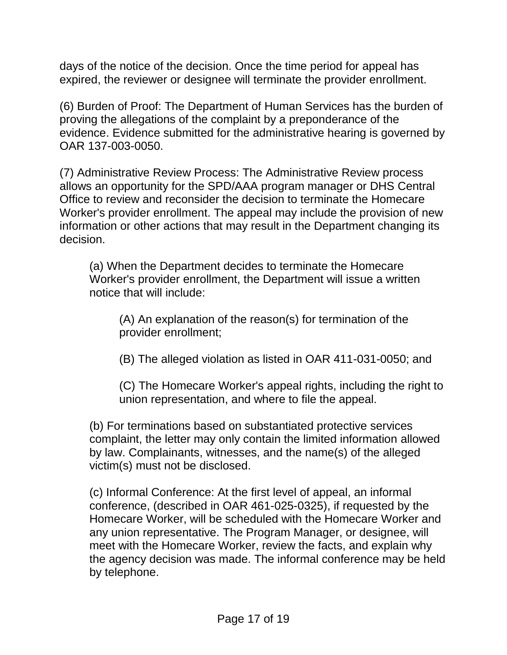days of the notice of the decision. Once the time period for appeal has expired, the reviewer or designee will terminate the provider enrollment.

(6) Burden of Proof: The Department of Human Services has the burden of proving the allegations of the complaint by a preponderance of the evidence. Evidence submitted for the administrative hearing is governed by OAR 137-003-0050.

(7) Administrative Review Process: The Administrative Review process allows an opportunity for the SPD/AAA program manager or DHS Central Office to review and reconsider the decision to terminate the Homecare Worker's provider enrollment. The appeal may include the provision of new information or other actions that may result in the Department changing its decision.

(a) When the Department decides to terminate the Homecare Worker's provider enrollment, the Department will issue a written notice that will include:

(A) An explanation of the reason(s) for termination of the provider enrollment;

(B) The alleged violation as listed in OAR 411-031-0050; and

(C) The Homecare Worker's appeal rights, including the right to union representation, and where to file the appeal.

(b) For terminations based on substantiated protective services complaint, the letter may only contain the limited information allowed by law. Complainants, witnesses, and the name(s) of the alleged victim(s) must not be disclosed.

(c) Informal Conference: At the first level of appeal, an informal conference, (described in OAR 461-025-0325), if requested by the Homecare Worker, will be scheduled with the Homecare Worker and any union representative. The Program Manager, or designee, will meet with the Homecare Worker, review the facts, and explain why the agency decision was made. The informal conference may be held by telephone.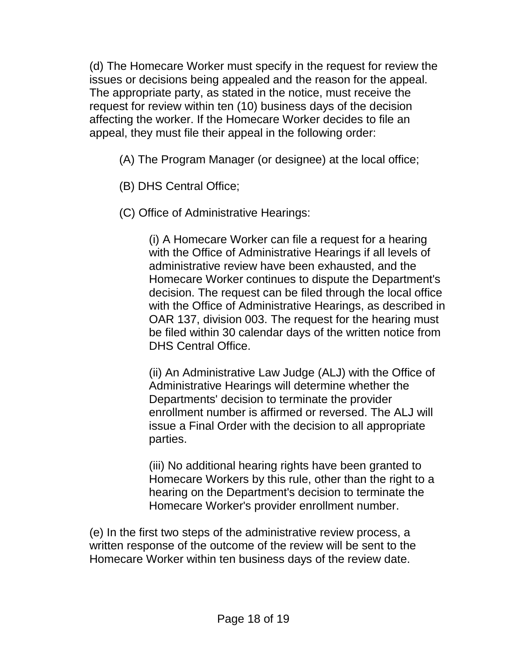(d) The Homecare Worker must specify in the request for review the issues or decisions being appealed and the reason for the appeal. The appropriate party, as stated in the notice, must receive the request for review within ten (10) business days of the decision affecting the worker. If the Homecare Worker decides to file an appeal, they must file their appeal in the following order:

- (A) The Program Manager (or designee) at the local office;
- (B) DHS Central Office;
- (C) Office of Administrative Hearings:

(i) A Homecare Worker can file a request for a hearing with the Office of Administrative Hearings if all levels of administrative review have been exhausted, and the Homecare Worker continues to dispute the Department's decision. The request can be filed through the local office with the Office of Administrative Hearings, as described in OAR 137, division 003. The request for the hearing must be filed within 30 calendar days of the written notice from DHS Central Office.

(ii) An Administrative Law Judge (ALJ) with the Office of Administrative Hearings will determine whether the Departments' decision to terminate the provider enrollment number is affirmed or reversed. The ALJ will issue a Final Order with the decision to all appropriate parties.

(iii) No additional hearing rights have been granted to Homecare Workers by this rule, other than the right to a hearing on the Department's decision to terminate the Homecare Worker's provider enrollment number.

(e) In the first two steps of the administrative review process, a written response of the outcome of the review will be sent to the Homecare Worker within ten business days of the review date.